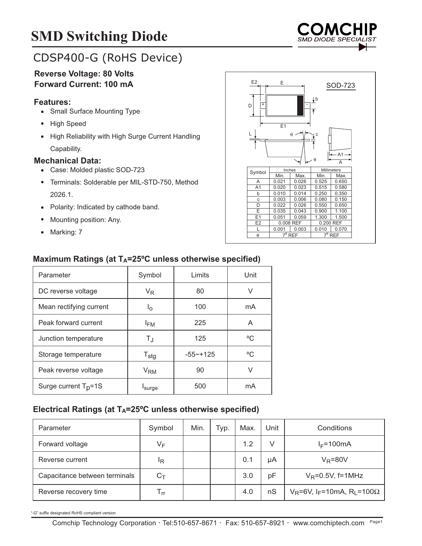# **SMD Switching Diode**



# CDSP400-G (RoHS Device)

## **Reverse Voltage: 80 Volts Forward Current: 100 mA**

#### **Features:**

- Small Surface Mounting Type
- High Speed
- High Reliability with High Surge Current Handling Capability.

#### **Mechanical Data:**

- Case: Molded plastic SOD-723
- Terminals: Solderable per MIL-STD-750, Method 2026.1.
- Polarity: Indicated by cathode band.
- Mounting position: Any.
- Marking: 7

| E <sub>2</sub><br>E<br>SOD-723<br>$\downarrow$ b<br>$\overline{+}$<br>D<br>E1 |                         |           |                         |           |  |  |  |  |
|-------------------------------------------------------------------------------|-------------------------|-----------|-------------------------|-----------|--|--|--|--|
|                                                                               |                         | $\theta$  | Ċ<br>$\theta$           | - A1<br>Ā |  |  |  |  |
| Symbol                                                                        | Inches                  |           | Millimeters             |           |  |  |  |  |
|                                                                               | Min.                    | Max.      | Min.                    | Max.      |  |  |  |  |
| A                                                                             | 0.021                   | 0.026     | 0.525                   | 0.650     |  |  |  |  |
| A <sub>1</sub>                                                                | 0.020                   | 0.023     | 0.515                   | 0.580     |  |  |  |  |
| b                                                                             | 0.010                   | 0.014     | 0.250                   | 0.350     |  |  |  |  |
| C                                                                             | 0.003                   | 0.006     | 0.080                   | 0.150     |  |  |  |  |
| D                                                                             | 0.022                   | 0.026     | 0.550                   | 0.650     |  |  |  |  |
| Ē                                                                             | 0.035                   | 0.043     | 0.900                   | 1.100     |  |  |  |  |
| E1                                                                            | 0.051                   | 0.059     | 1.300                   | 1.500     |  |  |  |  |
| E <sub>2</sub>                                                                |                         | 0.008 REF |                         | 0.200 REF |  |  |  |  |
| L                                                                             | 0.001                   | 0.003     | 0.010                   | 0.070     |  |  |  |  |
| θ                                                                             | $7^\circ$<br><b>REF</b> |           | $7^\circ$<br><b>REF</b> |           |  |  |  |  |
|                                                                               |                         |           |                         |           |  |  |  |  |

## Maximum Ratings (at T<sub>A</sub>=25°C unless otherwise specified)

| Parameter                        | Symbol                | Limits       | Unit |
|----------------------------------|-----------------------|--------------|------|
| DC reverse voltage               | $V_{R}$               | 80           | V    |
| Mean rectifying current          | Ιo                    | 100          | mA   |
| Peak forward current             | $I_{FM}$              | 225          | A    |
| Junction temperature             | $T_{\rm J}$           | 125          | °C   |
| Storage temperature              | $T_{\text{stg}}$      | $-55 - +125$ | °C   |
| Peak reverse voltage             | <b>V<sub>RM</sub></b> | 90           | V    |
| Surge current T <sub>p</sub> =1S | Isurge                | 500          | mA   |

## Electrical Ratings (at T<sub>A</sub>=25°C unless otherwise specified)

| Parameter                     | Symbol                     | Min. | Typ. | Max. | Unit | Conditions                                                    |
|-------------------------------|----------------------------|------|------|------|------|---------------------------------------------------------------|
| Forward voltage               | VF                         |      |      | 1.2  |      | $I_F = 100mA$                                                 |
| Reverse current               | ΙR                         |      |      | 0.1  | μA   | $V_R = 80V$                                                   |
| Capacitance between terminals | $C_T$                      |      |      | 3.0  | pF   | $V_R = 0.5V$ , f=1MHz                                         |
| Reverse recovery time         | $\mathsf{T}_{\mathsf{rr}}$ |      |      | 4.0  | nS   | $V_R$ =6V, I <sub>F</sub> =10mA, R <sub>L</sub> =100 $\Omega$ |

"-G" suffix designated RoHS compliant version